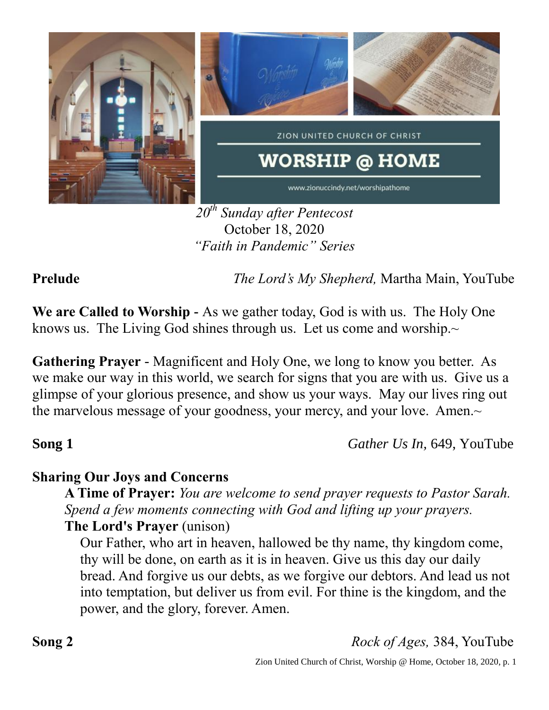

*20th Sunday after Pentecost* October 18, 2020 *"Faith in Pandemic" Series*

**Prelude** *The Lord's My Shepherd,* Martha Main, YouTube

**We are Called to Worship -** As we gather today, God is with us. The Holy One knows us. The Living God shines through us. Let us come and worship. $\sim$ 

**Gathering Prayer** - Magnificent and Holy One, we long to know you better. As we make our way in this world, we search for signs that you are with us. Give us a glimpse of your glorious presence, and show us your ways. May our lives ring out the marvelous message of your goodness, your mercy, and your love. Amen.~

**Song 1** *Gather Us In,* 649, YouTube

# **Sharing Our Joys and Concerns**

**A Time of Prayer:** *You are welcome to send prayer requests to Pastor Sarah. Spend a few moments connecting with God and lifting up your prayers.*

# **The Lord's Prayer** (unison)

Our Father, who art in heaven, hallowed be thy name, thy kingdom come, thy will be done, on earth as it is in heaven. Give us this day our daily bread. And forgive us our debts, as we forgive our debtors. And lead us not into temptation, but deliver us from evil. For thine is the kingdom, and the power, and the glory, forever. Amen.

**Song 2** *Rock of Ages,* 384, YouTube

Zion United Church of Christ, Worship @ Home, October 18, 2020, p. 1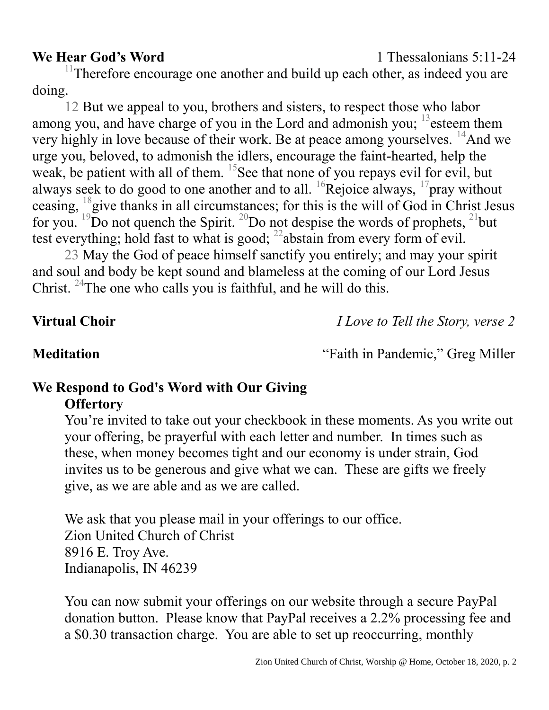$11$ Therefore encourage one another and build up each other, as indeed you are doing.

12 But we appeal to you, brothers and sisters, to respect those who labor among you, and have charge of you in the Lord and admonish you;  $^{13}$  esteem them very highly in love because of their work. Be at peace among yourselves.  $^{14}$ And we urge you, beloved, to admonish the idlers, encourage the faint-hearted, help the weak, be patient with all of them. <sup>15</sup>See that none of you repays evil for evil, but always seek to do good to one another and to all.  ${}^{16}$ Rejoice always,  ${}^{17}$ pray without ceasing, <sup>18</sup>give thanks in all circumstances; for this is the will of God in Christ Jesus for you. <sup>19</sup>Do not quench the Spirit. <sup>20</sup>Do not despise the words of prophets, <sup>21</sup>but test everything; hold fast to what is good;  $^{22}$ abstain from every form of evil.

23 May the God of peace himself sanctify you entirely; and may your spirit and soul and body be kept sound and blameless at the coming of our Lord Jesus Christ. <sup>24</sup>The one who calls you is faithful, and he will do this.

**Virtual Choir** *I Love to Tell the Story, verse 2*

**Meditation** "Faith in Pandemic," Greg Miller

## **We Respond to God's Word with Our Giving Offertory**

You're invited to take out your checkbook in these moments. As you write out your offering, be prayerful with each letter and number. In times such as these, when money becomes tight and our economy is under strain, God invites us to be generous and give what we can. These are gifts we freely give, as we are able and as we are called.

We ask that you please mail in your offerings to our office. Zion United Church of Christ 8916 E. Troy Ave. Indianapolis, IN 46239

You can now submit your offerings on our website through a secure PayPal donation button. Please know that PayPal receives a 2.2% processing fee and a \$0.30 transaction charge. You are able to set up reoccurring, monthly

## **We Hear God's Word** 1 Thessalonians 5:11-24